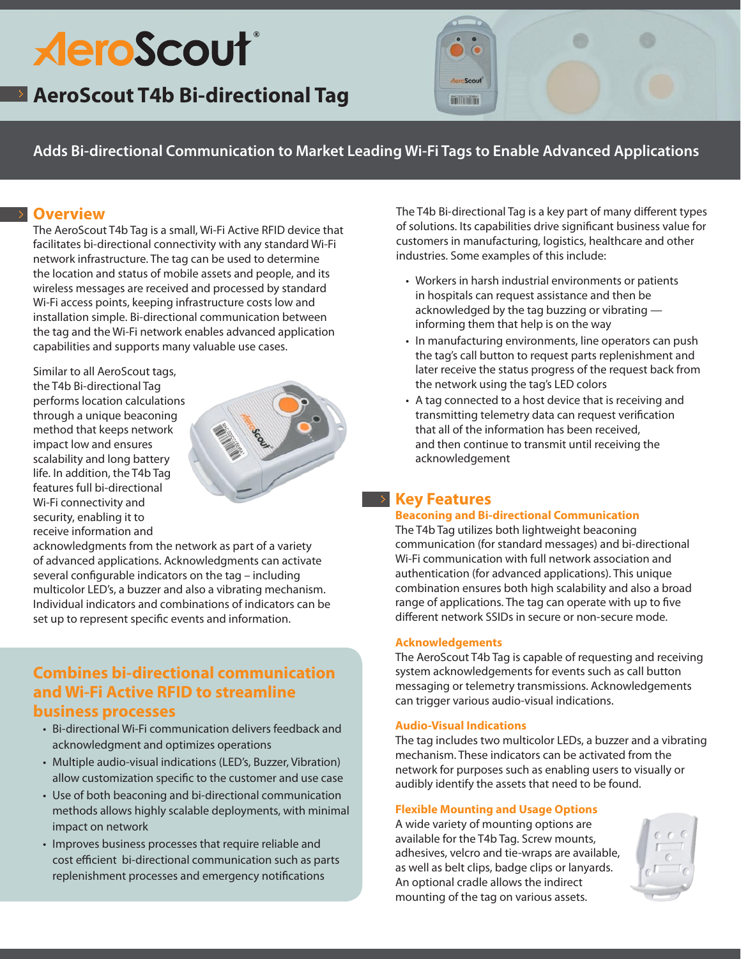# **AeroScout**®

## **AeroScout T4b Bi-directional Tag**

minim

**Adds Bi-directional Communication to Market Leading Wi-Fi Tags to Enable Advanced Applications**

### **Overview**

The AeroScout T4b Tag is a small, Wi-Fi Active RFID device that facilitates bi-directional connectivity with any standard Wi-Fi network infrastructure. The tag can be used to determine the location and status of mobile assets and people, and its wireless messages are received and processed by standard Wi-Fi access points, keeping infrastructure costs low and installation simple. Bi-directional communication between the tag and the Wi-Fi network enables advanced application capabilities and supports many valuable use cases.

Similar to all AeroScout tags, the T4b Bi-directional Tag performs location calculations through a unique beaconing method that keeps network impact low and ensures scalability and long battery life. In addition, the T4b Tag features full bi-directional Wi-Fi connectivity and security, enabling it to receive information and



acknowledgments from the network as part of a variety of advanced applications. Acknowledgments can activate several configurable indicators on the tag – including multicolor LED's, a buzzer and also a vibrating mechanism. Individual indicators and combinations of indicators can be set up to represent specific events and information.

## **Combines bi-directional communication and Wi-Fi Active RFID to streamline**

#### **business processes**

- • Bi-directional Wi-Fi communication delivers feedback and acknowledgment and optimizes operations
- Multiple audio-visual indications (LED's, Buzzer, Vibration) allow customization specific to the customer and use case
- Use of both beaconing and bi-directional communication methods allows highly scalable deployments, with minimal impact on network
- Improves business processes that require reliable and cost efficient bi-directional communication such as parts replenishment processes and emergency notifications

The T4b Bi-directional Tag is a key part of many different types of solutions. Its capabilities drive significant business value for customers in manufacturing, logistics, healthcare and other industries. Some examples of this include:

- Workers in harsh industrial environments or patients in hospitals can request assistance and then be acknowledged by the tag buzzing or vibrating informing them that help is on the way
- In manufacturing environments, line operators can push the tag's call button to request parts replenishment and later receive the status progress of the request back from the network using the tag's LED colors
- A tag connected to a host device that is receiving and transmitting telemetry data can request verification that all of the information has been received, and then continue to transmit until receiving the acknowledgement

## **Key Features**

#### **Beaconing and Bi-directional Communication**

The T4b Tag utilizes both lightweight beaconing communication (for standard messages) and bi-directional Wi-Fi communication with full network association and authentication (for advanced applications). This unique combination ensures both high scalability and also a broad range of applications. The tag can operate with up to five different network SSIDs in secure or non-secure mode.

#### **Acknowledgements**

The AeroScout T4b Tag is capable of requesting and receiving system acknowledgements for events such as call button messaging or telemetry transmissions. Acknowledgements can trigger various audio-visual indications.

#### **Audio-Visual Indications**

The tag includes two multicolor LEDs, a buzzer and a vibrating mechanism. These indicators can be activated from the network for purposes such as enabling users to visually or audibly identify the assets that need to be found.

#### **Flexible Mounting and Usage Options**

A wide variety of mounting options are available for the T4b Tag. Screw mounts, adhesives, velcro and tie-wraps are available, as well as belt clips, badge clips or lanyards. An optional cradle allows the indirect mounting of the tag on various assets.